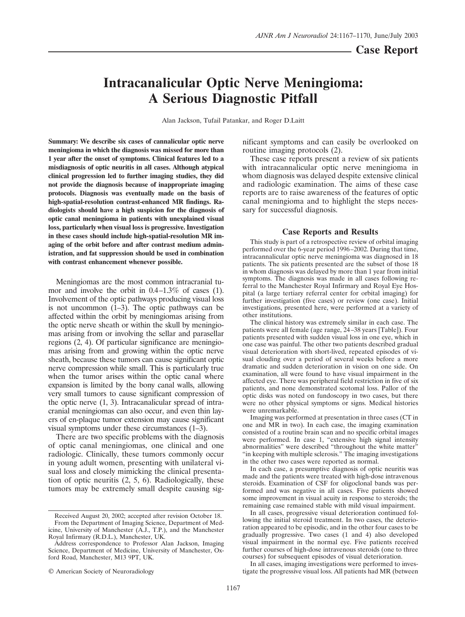**Case Report**

# **Intracanalicular Optic Nerve Meningioma: A Serious Diagnostic Pitfall**

Alan Jackson, Tufail Patankar, and Roger D.Laitt

**Summary: We describe six cases of cannalicular optic nerve meningioma in which the diagnosis was missed for more than 1 year after the onset of symptoms. Clinical features led to a misdiagnosis of optic neuritis in all cases. Although atypical clinical progression led to further imaging studies, they did not provide the diagnosis because of inappropriate imaging protocols. Diagnosis was eventually made on the basis of high-spatial-resolution contrast-enhanced MR findings. Radiologists should have a high suspicion for the diagnosis of optic canal meningioma in patients with unexplained visual loss, particularly when visual loss is progressive. Investigation in these cases should include high-spatial-resolution MR imaging of the orbit before and after contrast medium administration, and fat suppression should be used in combination with contrast enhancement whenever possible.**

Meningiomas are the most common intracranial tumor and involve the orbit in 0.4–1.3% of cases (1). Involvement of the optic pathways producing visual loss is not uncommon (1–3). The optic pathways can be affected within the orbit by meningiomas arising from the optic nerve sheath or within the skull by meningiomas arising from or involving the sellar and parasellar regions (2, 4). Of particular significance are meningiomas arising from and growing within the optic nerve sheath, because these tumors can cause significant optic nerve compression while small. This is particularly true when the tumor arises within the optic canal where expansion is limited by the bony canal walls, allowing very small tumors to cause significant compression of the optic nerve (1, 3). Intracanalicular spread of intracranial meningiomas can also occur, and even thin layers of en-plaque tumor extension may cause significant visual symptoms under these circumstances (1–3).

There are two specific problems with the diagnosis of optic canal meningiomas, one clinical and one radiologic. Clinically, these tumors commonly occur in young adult women, presenting with unilateral visual loss and closely mimicking the clinical presentation of optic neuritis (2, 5, 6). Radiologically, these tumors may be extremely small despite causing significant symptoms and can easily be overlooked on routine imaging protocols (2).

These case reports present a review of six patients with intracannalicular optic nerve meningioma in whom diagnosis was delayed despite extensive clinical and radiologic examination. The aims of these case reports are to raise awareness of the features of optic canal meningioma and to highlight the steps necessary for successful diagnosis.

# **Case Reports and Results**

This study is part of a retrospective review of orbital imaging performed over the 6-year period 1996–2002. During that time, intracannalicular optic nerve meningioma was diagnosed in 18 patients. The six patients presented are the subset of those 18 in whom diagnosis was delayed by more than 1 year from initial symptoms. The diagnosis was made in all cases following referral to the Manchester Royal Infirmary and Royal Eye Hospital (a large tertiary referral center for orbital imaging) for further investigation (five cases) or review (one case). Initial investigations, presented here, were performed at a variety of other institutions.

The clinical history was extremely similar in each case. The patients were all female (age range, 24–38 years [Table]). Four patients presented with sudden visual loss in one eye, which in one case was painful. The other two patients described gradual visual deterioration with short-lived, repeated episodes of visual clouding over a period of several weeks before a more dramatic and sudden deterioration in vision on one side. On examination, all were found to have visual impairment in the affected eye. There was peripheral field restriction in five of six patients, and none demonstrated scotomal loss. Pallor of the optic disks was noted on fundoscopy in two cases, but there were no other physical symptoms or signs. Medical histories were unremarkable.

Imaging was performed at presentation in three cases (CT in one and MR in two). In each case, the imaging examination consisted of a routine brain scan and no specific orbital images were performed. In case 1, "extensive high signal intensity abnormalities" were described "throughout the white matter" "in keeping with multiple sclerosis." The imaging investigations in the other two cases were reported as normal.

In each case, a presumptive diagnosis of optic neuritis was made and the patients were treated with high-dose intravenous steroids. Examination of CSF for oligoclonal bands was performed and was negative in all cases. Five patients showed some improvement in visual acuity in response to steroids; the remaining case remained stable with mild visual impairment.

In all cases, progressive visual deterioration continued following the initial steroid treatment. In two cases, the deterioration appeared to be episodic, and in the other four cases to be gradually progressive. Two cases (1 and 4) also developed visual impairment in the normal eye. Five patients received further courses of high-dose intravenous steroids (one to three courses) for subsequent episodes of visual deterioration.

In all cases, imaging investigations were performed to investigate the progressive visual loss. All patients had MR (between

Received August 20, 2002; accepted after revision October 18. From the Department of Imaging Science, Department of Medicine, University of Manchester (A.J., T.P.), and the Manchester Royal Infirmary (R.D.L.), Manchester, UK.

Address correspondence to Professor Alan Jackson, Imaging Science, Department of Medicine, University of Manchester, Oxford Road, Manchester, M13 9PT, UK.

<sup>©</sup> American Society of Neuroradiology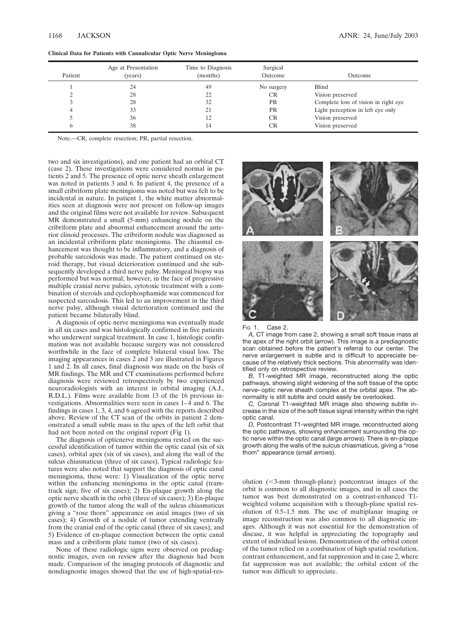| Patient | Age at Presentation<br>(vears) | Time to Diagnosis<br>(months) | Surgical<br>Outcome | Outcome                              |
|---------|--------------------------------|-------------------------------|---------------------|--------------------------------------|
|         | 24                             | 49                            | No surgery          | <b>Blind</b>                         |
|         | 28                             | 22                            | <b>CR</b>           | Vision preserved                     |
|         | 28                             | 32                            | <b>PR</b>           | Complete loss of vision in right eye |
| 4       | 33                             | 21                            | <b>PR</b>           | Light perception in left eye only    |
|         | 36                             | 12                            | CR                  | Vision preserved                     |
| b       | 38                             | 14                            |                     | Vision preserved                     |

**Clinical Data for Patients with Cannalicular Optic Nerve Meningloma**

Note.—CR, complete resection; PR, partial resection.

two and six investigations), and one patient had an orbital CT (case 2). These investigations were considered normal in patients 2 and 5. The presence of optic nerve sheath enlargement was noted in patients 3 and 6. In patient 4, the presence of a small cribriform plate meningioma was noted but was felt to be incidental in nature. In patient 1, the white matter abnormalities seen at diagnosis were not present on follow-up images and the original films were not available for review. Subsequent MR demonstrated a small (5-mm) enhancing nodule on the cribriform plate and abnormal enhancement around the anterior clinoid processes. The cribriform nodule was diagnosed as an incidental cribriform plate meningioma. The chiasmal enhancement was thought to be inflammatory, and a diagnosis of probable sarcoidosis was made. The patient continued on steroid therapy, but visual deterioration continued and she subsequently developed a third nerve palsy. Meningeal biopsy was performed but was normal; however, in the face of progressive multiple cranial nerve palsies, cytotoxic treatment with a combination of steroids and cyclophosphamide was commenced for suspected sarcoidosis. This led to an improvement in the third nerve palsy, although visual deterioration continued and the patient became bilaterally blind.

A diagnosis of optic nerve meningioma was eventually made in all six cases and was histologically confirmed in five patients who underwent surgical treatment. In case 1, histologic confirmation was not available because surgery was not considered worthwhile in the face of complete bilateral visual loss. The imaging appearances in cases 2 and 3 are illustrated in Figures 1 and 2. In all cases, final diagnosis was made on the basis of MR findings. The MR and CT examinations performed before diagnosis were reviewed retrospectively by two experienced neuroradiologists with an interest in orbital imaging (A.J., R.D.L.). Films were available from 13 of the 16 previous investigations. Abnormalities were seen in cases 1–4 and 6. The findings in cases 1, 3, 4, and 6 agreed with the reports described above. Review of the CT scan of the orbits in patient 2 demonstrated a small subtle mass in the apex of the left orbit that had not been noted on the original report (Fig 1).

The diagnosis of opticnerve meningioma rested on the successful identification of tumor within the optic canal (six of six cases), orbital apex (six of six cases), and along the wall of the sulcus chiasmaticus (three of six cases). Typical radiologic features were also noted that support the diagnosis of optic canal meningioma, these were: 1) Visualization of the optic nerve within the enhancing meningioma in the optic canal (tramtrack sign; five of six cases); 2) En-plaque growth along the optic nerve sheath in the orbit (three of six cases); 3) En-plaque growth of the tumor along the wall of the sulcus chiasmaticus giving a "rose thorn" appearance on axial images (two of six cases); 4) Growth of a nodule of tumor extending ventrally from the cranial end of the optic canal (three of six cases); and 5) Evidence of en-plaque connection between the optic canal mass and a cribriform plate tumor (two of six cases).

None of these radiologic signs were observed on prediagnostic images, even on review after the diagnosis had been made. Comparison of the imaging protocols of diagnostic and nondiagnostic images showed that the use of high-spatial-res-



### Fig 1. Case 2.

*A,* CT image from case 2, showing a small soft tissue mass at the apex of the right orbit (*arrow*). This image is a prediagnostic scan obtained before the patient's referral to our center. The nerve enlargement is subtle and is difficult to appreciate because of the relatively thick sections. This abnormality was identified only on retrospective review.

*B,* T1-weighted MR image, reconstructed along the optic pathways, showing slight widening of the soft tissue of the optic nerve–optic nerve sheath complex at the orbital apex. The abnormality is still subtle and could easily be overlooked.

*C,* Coronal T1-weighted MR image also showing subtle increase in the size of the soft tissue signal intensity within the right optic canal.

*D,* Postcontrast T1-weighted MR image, reconstructed along the optic pathways, showing enhancement surrounding the optic nerve within the optic canal (*large arrows*). There is en-plaque growth along the walls of the sulcus chiasmaticus, giving a "rose thorn" appearance (*small arrows*).

olution (3-mm through-plane) postcontrast images of the orbit is common to all diagnostic images, and in all cases the tumor was best demonstrated on a contrast-enhanced T1 weighted volume acquisition with a through-plane spatial resolution of 0.5–1.5 mm. The use of multiplanar imaging or image reconstruction was also common to all diagnostic images. Although it was not essential for the demonstration of disease, it was helpful in appreciating the topography and extent of individual lesions. Demonstration of the orbital extent of the tumor relied on a combination of high spatial resolution, contrast enhancement, and fat suppression and in case 2, where fat suppression was not available; the orbital extent of the tumor was difficult to appreciate.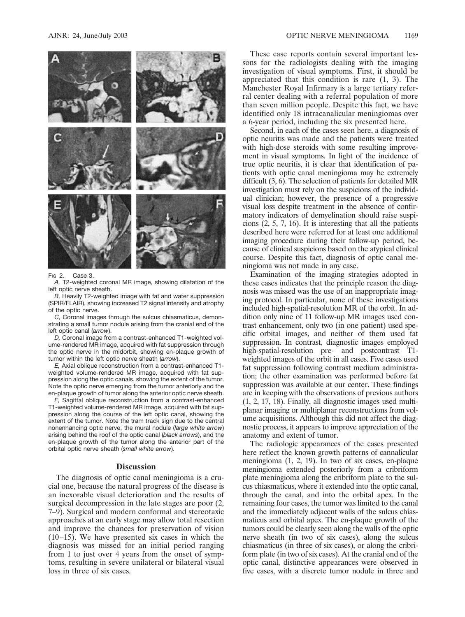

#### FIG 2. Case 3.

*A,* T2-weighted coronal MR image, showing dilatation of the left optic nerve sheath.

*B,* Heavily T2-weighted image with fat and water suppression (SPIR/FLAIR), showing increased T2 signal intensity and atrophy of the optic nerve.

*C,* Coronal images through the sulcus chiasmaticus, demonstrating a small tumor nodule arising from the cranial end of the left optic canal (*arrow*).

*D,* Coronal image from a contrast-enhanced T1-weighted volume-rendered MR image, acquired with fat suppression through the optic nerve in the midorbit, showing en-plaque growth of tumor within the left optic nerve sheath (*arrow*).

*E,* Axial oblique reconstruction from a contrast-enhanced T1 weighted volume-rendered MR image, acquired with fat suppression along the optic canals, showing the extent of the tumor. Note the optic nerve emerging from the tumor anteriorly and the en-plaque growth of tumor along the anterior optic nerve sheath.

*F,* Sagittal oblique reconstruction from a contrast-enhanced T1-weighted volume-rendered MR image, acquired with fat suppression along the course of the left optic canal, showing the extent of the tumor. Note the tram track sign due to the central nonenhancing optic nerve, the mural nodule (*large white arrow*) arising behind the roof of the optic canal (*black arrows*), and the en-plaque growth of the tumor along the anterior part of the orbital optic nerve sheath (*small white arrow*).

## **Discussion**

The diagnosis of optic canal meningioma is a crucial one, because the natural progress of the disease is an inexorable visual deterioration and the results of surgical decompression in the late stages are poor (2, 7–9). Surgical and modern conformal and stereotaxic approaches at an early stage may allow total resection and improve the chances for preservation of vision (10–15). We have presented six cases in which the diagnosis was missed for an initial period ranging from 1 to just over 4 years from the onset of symptoms, resulting in severe unilateral or bilateral visual loss in three of six cases.

These case reports contain several important lessons for the radiologists dealing with the imaging investigation of visual symptoms. First, it should be appreciated that this condition is rare (1, 3). The Manchester Royal Infirmary is a large tertiary referral center dealing with a referral population of more than seven million people. Despite this fact, we have identified only 18 intracanalicular meningiomas over a 6-year period, including the six presented here.

Second, in each of the cases seen here, a diagnosis of optic neuritis was made and the patients were treated with high-dose steroids with some resulting improvement in visual symptoms. In light of the incidence of true optic neuritis, it is clear that identification of patients with optic canal meningioma may be extremely difficult (3, 6). The selection of patients for detailed MR investigation must rely on the suspicions of the individual clinician; however, the presence of a progressive visual loss despite treatment in the absence of confirmatory indicators of demyelination should raise suspicions (2, 5, 7, 16). It is interesting that all the patients described here were referred for at least one additional imaging procedure during their follow-up period, because of clinical suspicions based on the atypical clinical course. Despite this fact, diagnosis of optic canal meningioma was not made in any case.

Examination of the imaging strategies adopted in these cases indicates that the principle reason the diagnosis was missed was the use of an inappropriate imaging protocol. In particular, none of these investigations included high-spatial-resolution MR of the orbit. In addition only nine of 11 follow-up MR images used contrast enhancement, only two (in one patient) used specific orbital images, and neither of them used fat suppression. In contrast, diagnostic images employed high-spatial-resolution pre- and postcontrast T1 weighted images of the orbit in all cases. Five cases used fat suppression following contrast medium administration; the other examination was performed before fat suppression was available at our center. These findings are in keeping with the observations of previous authors (1, 2, 17, 18). Finally, all diagnostic images used multiplanar imaging or multiplanar reconstructions from volume acquisitions. Although this did not affect the diagnostic process, it appears to improve appreciation of the anatomy and extent of tumor.

The radiologic appearances of the cases presented here reflect the known growth patterns of cannalicular meningioma (1, 2, 19). In two of six cases, en-plaque meningioma extended posteriorly from a cribriform plate meningioma along the cribriform plate to the sulcus chiasmaticus, where it extended into the optic canal, through the canal, and into the orbital apex. In the remaining four cases, the tumor was limited to the canal and the immediately adjacent walls of the sulcus chiasmaticus and orbital apex. The en-plaque growth of the tumors could be clearly seen along the walls of the optic nerve sheath (in two of six cases), along the sulcus chiasmaticus (in three of six cases), or along the cribriform plate (in two of six cases). At the cranial end of the optic canal, distinctive appearances were observed in five cases, with a discrete tumor nodule in three and